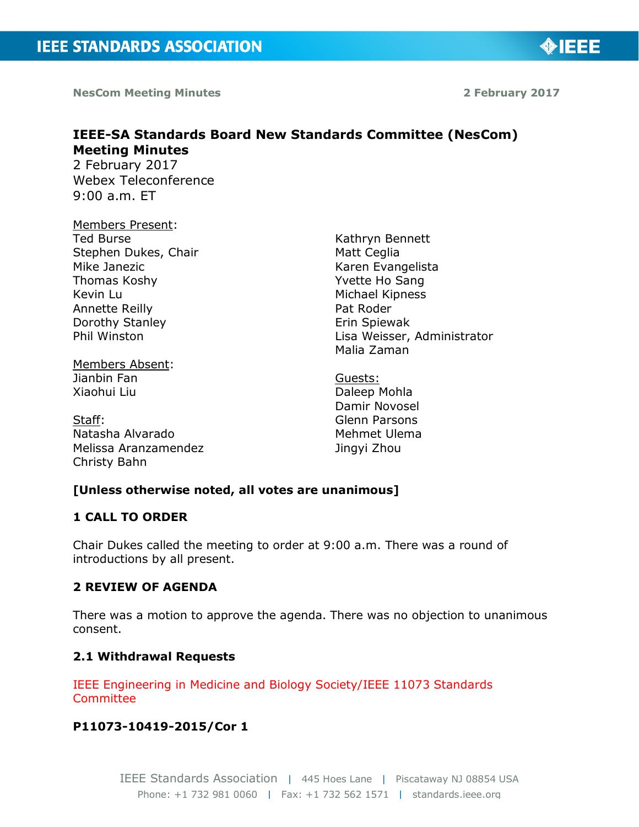**NesCom Meeting Minutes 2 February 2017**

**MIEEE** 

# **IEEE-SA Standards Board New Standards Committee (NesCom) Meeting Minutes**

2 February 2017 Webex Teleconference 9:00 a.m. ET

#### Members Present:

Ted Burse Stephen Dukes, Chair Mike Janezic Thomas Koshy Kevin Lu Annette Reilly Dorothy Stanley Phil Winston

Members Absent: Jianbin Fan Xiaohui Liu

Staff: Natasha Alvarado Melissa Aranzamendez Christy Bahn

Kathryn Bennett Matt Ceglia Karen Evangelista Yvette Ho Sang Michael Kipness Pat Roder Erin Spiewak Lisa Weisser, Administrator Malia Zaman

Guests: Daleep Mohla Damir Novosel Glenn Parsons Mehmet Ulema Jingyi Zhou

# **[Unless otherwise noted, all votes are unanimous]**

## **1 CALL TO ORDER**

Chair Dukes called the meeting to order at 9:00 a.m. There was a round of introductions by all present.

# **2 REVIEW OF AGENDA**

There was a motion to approve the agenda. There was no objection to unanimous consent.

#### **2.1 Withdrawal Requests**

IEEE Engineering in Medicine and Biology Society/IEEE 11073 Standards Committee

#### **P11073-10419-2015/Cor 1**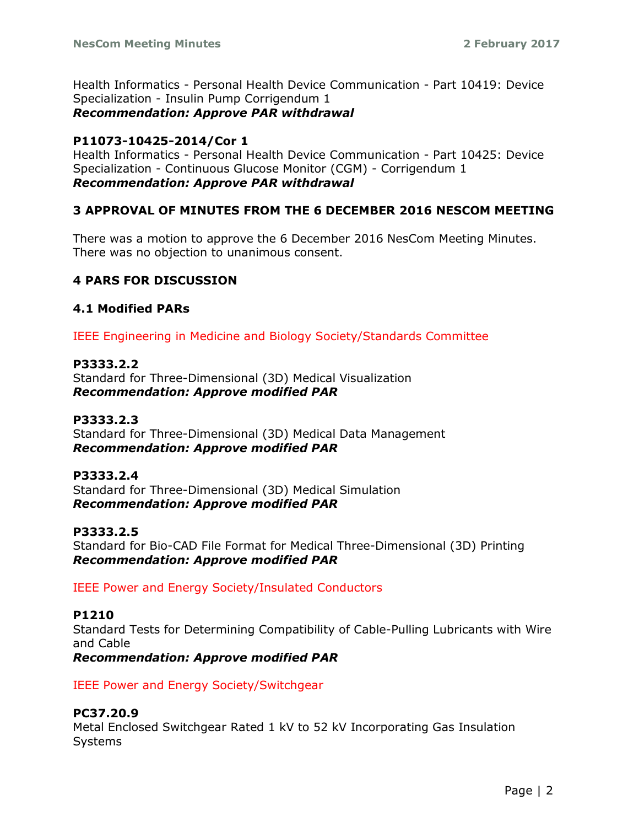Health Informatics - Personal Health Device Communication - Part 10419: Device Specialization - Insulin Pump Corrigendum 1 *Recommendation: Approve PAR withdrawal*

# **P11073-10425-2014/Cor 1**

Health Informatics - Personal Health Device Communication - Part 10425: Device Specialization - Continuous Glucose Monitor (CGM) - Corrigendum 1 *Recommendation: Approve PAR withdrawal*

# **3 APPROVAL OF MINUTES FROM THE 6 DECEMBER 2016 NESCOM MEETING**

There was a motion to approve the 6 December 2016 NesCom Meeting Minutes. There was no objection to unanimous consent.

# **4 PARS FOR DISCUSSION**

# **4.1 Modified PARs**

IEEE Engineering in Medicine and Biology Society/Standards Committee

# **P3333.2.2**

Standard for Three-Dimensional (3D) Medical Visualization *Recommendation: Approve modified PAR*

# **P3333.2.3**

Standard for Three-Dimensional (3D) Medical Data Management *Recommendation: Approve modified PAR*

# **P3333.2.4**

Standard for Three-Dimensional (3D) Medical Simulation *Recommendation: Approve modified PAR*

# **P3333.2.5**

Standard for Bio-CAD File Format for Medical Three-Dimensional (3D) Printing *Recommendation: Approve modified PAR*

IEEE Power and Energy Society/Insulated Conductors

#### **P1210**

Standard Tests for Determining Compatibility of Cable-Pulling Lubricants with Wire and Cable

*Recommendation: Approve modified PAR*

IEEE Power and Energy Society/Switchgear

# **PC37.20.9**

Metal Enclosed Switchgear Rated 1 kV to 52 kV Incorporating Gas Insulation Systems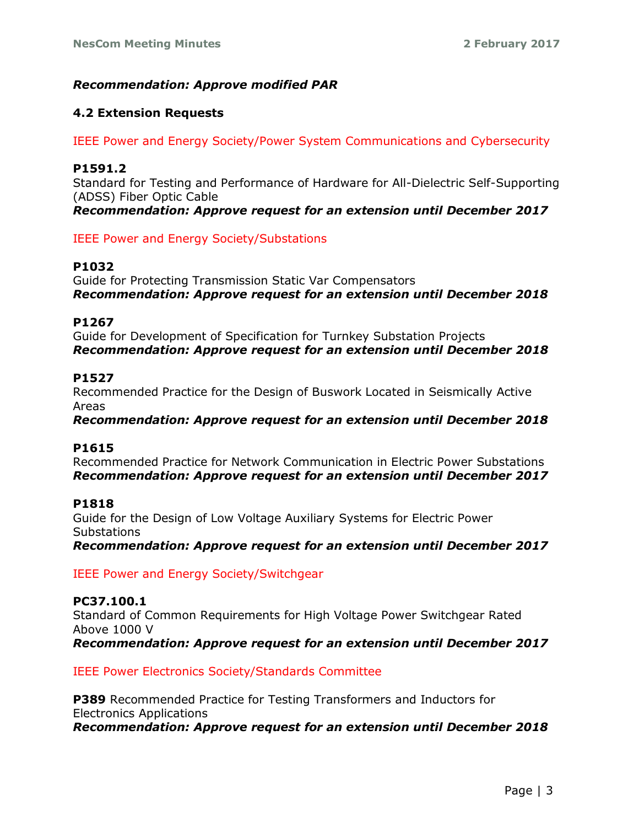# *Recommendation: Approve modified PAR*

## **4.2 Extension Requests**

IEEE Power and Energy Society/Power System Communications and Cybersecurity

## **P1591.2**

Standard for Testing and Performance of Hardware for All-Dielectric Self-Supporting (ADSS) Fiber Optic Cable

*Recommendation: Approve request for an extension until December 2017*

IEEE Power and Energy Society/Substations

#### **P1032**

Guide for Protecting Transmission Static Var Compensators *Recommendation: Approve request for an extension until December 2018*

#### **P1267**

Guide for Development of Specification for Turnkey Substation Projects *Recommendation: Approve request for an extension until December 2018*

## **P1527**

Recommended Practice for the Design of Buswork Located in Seismically Active Areas

*Recommendation: Approve request for an extension until December 2018*

#### **P1615**

Recommended Practice for Network Communication in Electric Power Substations *Recommendation: Approve request for an extension until December 2017*

#### **P1818**

Guide for the Design of Low Voltage Auxiliary Systems for Electric Power **Substations** 

*Recommendation: Approve request for an extension until December 2017*

IEEE Power and Energy Society/Switchgear

# **PC37.100.1**

Standard of Common Requirements for High Voltage Power Switchgear Rated Above 1000 V *Recommendation: Approve request for an extension until December 2017*

IEEE Power Electronics Society/Standards Committee

**P389** Recommended Practice for Testing Transformers and Inductors for Electronics Applications *Recommendation: Approve request for an extension until December 2018*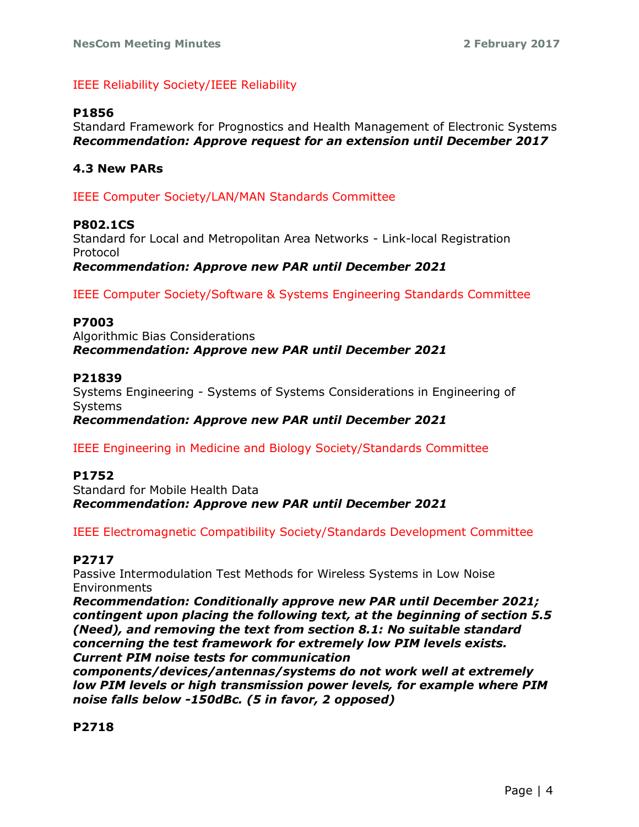# IEEE Reliability Society/IEEE Reliability

## **P1856**

Standard Framework for Prognostics and Health Management of Electronic Systems *Recommendation: Approve request for an extension until December 2017*

## **4.3 New PARs**

IEEE Computer Society/LAN/MAN Standards Committee

#### **P802.1CS**

Standard for Local and Metropolitan Area Networks - Link-local Registration Protocol

*Recommendation: Approve new PAR until December 2021*

IEEE Computer Society/Software & Systems Engineering Standards Committee

#### **P7003**

Algorithmic Bias Considerations *Recommendation: Approve new PAR until December 2021*

#### **P21839**

Systems Engineering - Systems of Systems Considerations in Engineering of Systems

*Recommendation: Approve new PAR until December 2021*

IEEE Engineering in Medicine and Biology Society/Standards Committee

#### **P1752**

Standard for Mobile Health Data *Recommendation: Approve new PAR until December 2021*

IEEE Electromagnetic Compatibility Society/Standards Development Committee

## **P2717**

Passive Intermodulation Test Methods for Wireless Systems in Low Noise Environments

*Recommendation: Conditionally approve new PAR until December 2021; contingent upon placing the following text, at the beginning of section 5.5 (Need), and removing the text from section 8.1: No suitable standard concerning the test framework for extremely low PIM levels exists. Current PIM noise tests for communication* 

*components/devices/antennas/systems do not work well at extremely low PIM levels or high transmission power levels, for example where PIM noise falls below -150dBc. (5 in favor, 2 opposed)*

**P2718**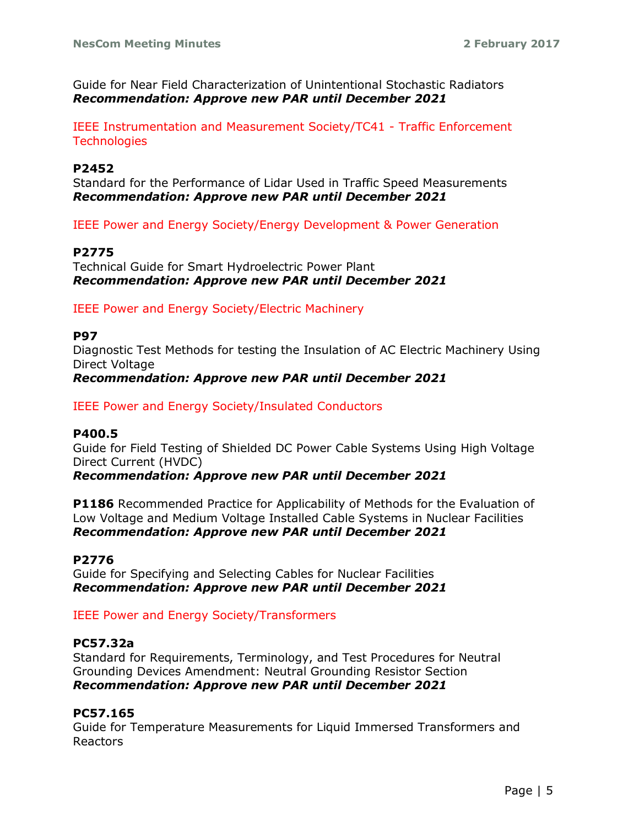Guide for Near Field Characterization of Unintentional Stochastic Radiators *Recommendation: Approve new PAR until December 2021*

IEEE Instrumentation and Measurement Society/TC41 - Traffic Enforcement **Technologies** 

#### **P2452**

Standard for the Performance of Lidar Used in Traffic Speed Measurements *Recommendation: Approve new PAR until December 2021*

IEEE Power and Energy Society/Energy Development & Power Generation

## **P2775**

Technical Guide for Smart Hydroelectric Power Plant *Recommendation: Approve new PAR until December 2021*

IEEE Power and Energy Society/Electric Machinery

#### **P97**

Diagnostic Test Methods for testing the Insulation of AC Electric Machinery Using Direct Voltage

*Recommendation: Approve new PAR until December 2021*

IEEE Power and Energy Society/Insulated Conductors

#### **P400.5**

Guide for Field Testing of Shielded DC Power Cable Systems Using High Voltage Direct Current (HVDC)

*Recommendation: Approve new PAR until December 2021*

**P1186** Recommended Practice for Applicability of Methods for the Evaluation of Low Voltage and Medium Voltage Installed Cable Systems in Nuclear Facilities *Recommendation: Approve new PAR until December 2021*

#### **P2776**

Guide for Specifying and Selecting Cables for Nuclear Facilities *Recommendation: Approve new PAR until December 2021*

IEEE Power and Energy Society/Transformers

## **PC57.32a**

Standard for Requirements, Terminology, and Test Procedures for Neutral Grounding Devices Amendment: Neutral Grounding Resistor Section *Recommendation: Approve new PAR until December 2021*

# **PC57.165**

Guide for Temperature Measurements for Liquid Immersed Transformers and Reactors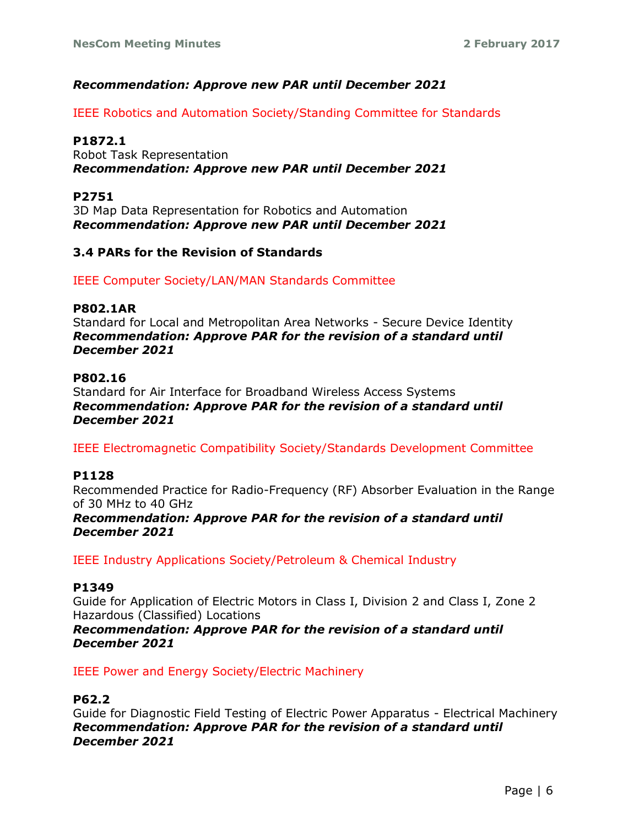# *Recommendation: Approve new PAR until December 2021*

IEEE Robotics and Automation Society/Standing Committee for Standards

## **P1872.1**

Robot Task Representation *Recommendation: Approve new PAR until December 2021*

## **P2751**

3D Map Data Representation for Robotics and Automation *Recommendation: Approve new PAR until December 2021*

# **3.4 PARs for the Revision of Standards**

IEEE Computer Society/LAN/MAN Standards Committee

#### **P802.1AR**

Standard for Local and Metropolitan Area Networks - Secure Device Identity *Recommendation: Approve PAR for the revision of a standard until December 2021*

#### **P802.16**

Standard for Air Interface for Broadband Wireless Access Systems *Recommendation: Approve PAR for the revision of a standard until December 2021*

IEEE Electromagnetic Compatibility Society/Standards Development Committee

#### **P1128**

Recommended Practice for Radio-Frequency (RF) Absorber Evaluation in the Range of 30 MHz to 40 GHz

*Recommendation: Approve PAR for the revision of a standard until December 2021*

IEEE Industry Applications Society/Petroleum & Chemical Industry

#### **P1349**

Guide for Application of Electric Motors in Class I, Division 2 and Class I, Zone 2 Hazardous (Classified) Locations

*Recommendation: Approve PAR for the revision of a standard until December 2021*

IEEE Power and Energy Society/Electric Machinery

#### **P62.2**

Guide for Diagnostic Field Testing of Electric Power Apparatus - Electrical Machinery *Recommendation: Approve PAR for the revision of a standard until December 2021*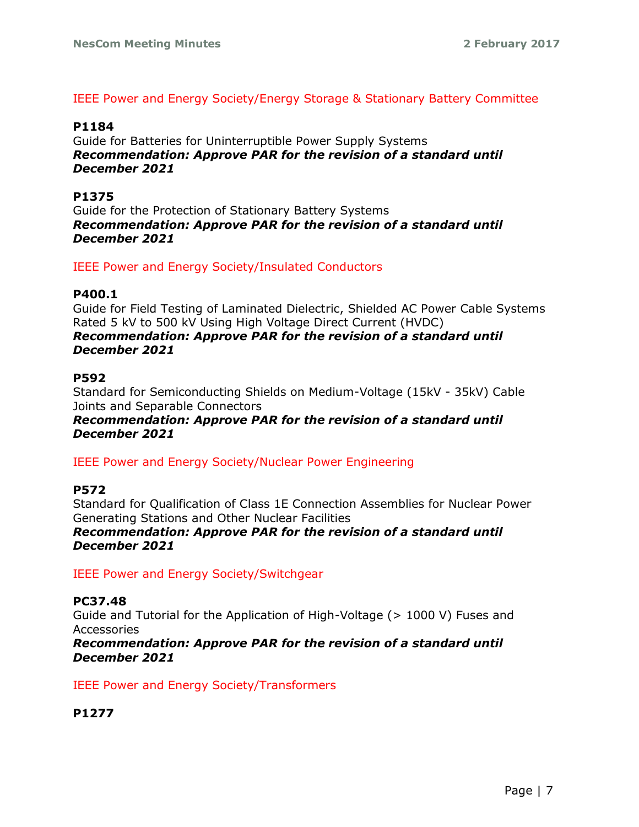## IEEE Power and Energy Society/Energy Storage & Stationary Battery Committee

#### **P1184**

Guide for Batteries for Uninterruptible Power Supply Systems *Recommendation: Approve PAR for the revision of a standard until December 2021*

## **P1375**

Guide for the Protection of Stationary Battery Systems *Recommendation: Approve PAR for the revision of a standard until December 2021*

## IEEE Power and Energy Society/Insulated Conductors

#### **P400.1**

Guide for Field Testing of Laminated Dielectric, Shielded AC Power Cable Systems Rated 5 kV to 500 kV Using High Voltage Direct Current (HVDC) *Recommendation: Approve PAR for the revision of a standard until December 2021*

#### **P592**

Standard for Semiconducting Shields on Medium-Voltage (15kV - 35kV) Cable Joints and Separable Connectors

## *Recommendation: Approve PAR for the revision of a standard until December 2021*

IEEE Power and Energy Society/Nuclear Power Engineering

#### **P572**

Standard for Qualification of Class 1E Connection Assemblies for Nuclear Power Generating Stations and Other Nuclear Facilities *Recommendation: Approve PAR for the revision of a standard until December 2021*

IEEE Power and Energy Society/Switchgear

# **PC37.48**

Guide and Tutorial for the Application of High-Voltage (> 1000 V) Fuses and Accessories

*Recommendation: Approve PAR for the revision of a standard until December 2021*

IEEE Power and Energy Society/Transformers

# **P1277**